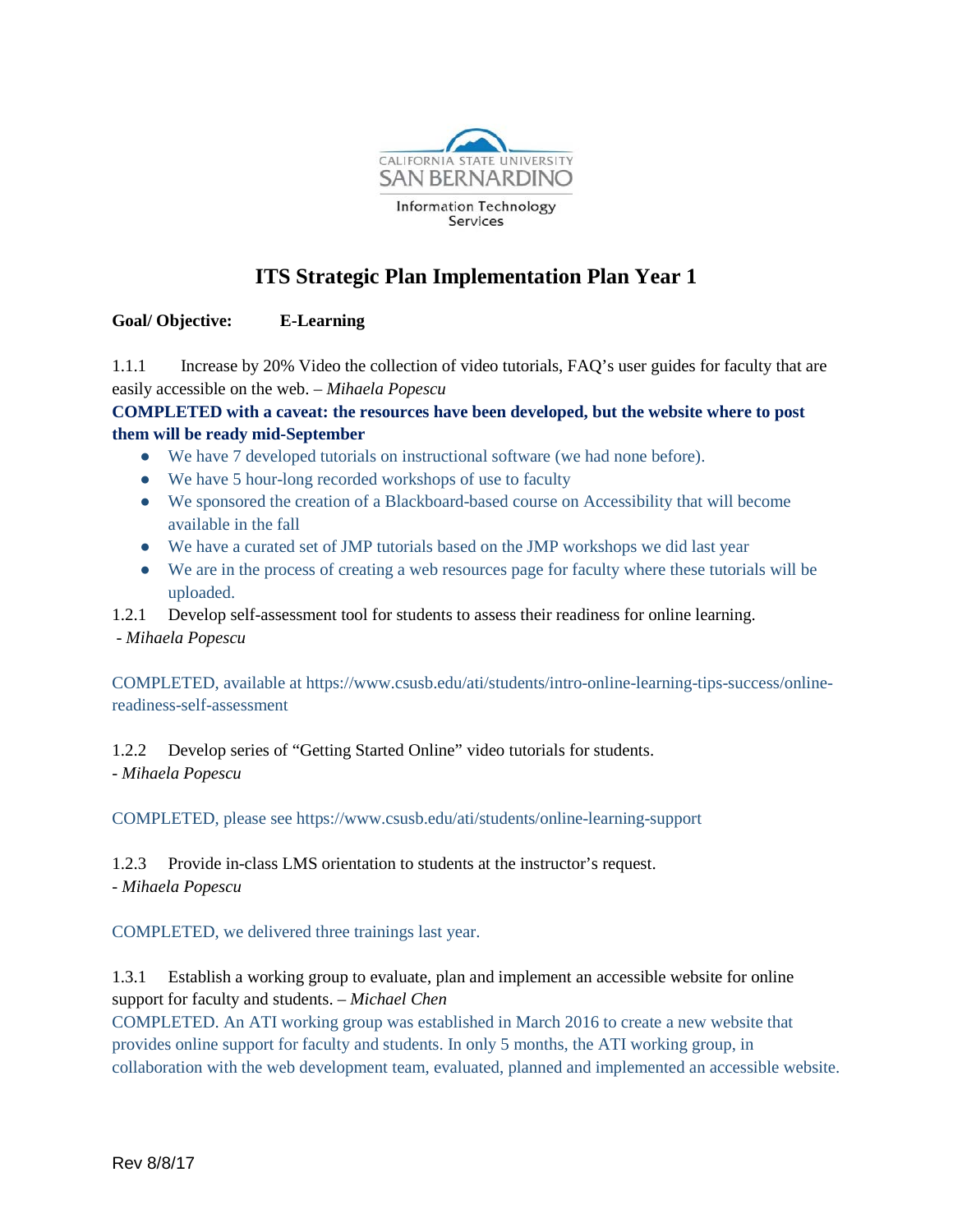

# **ITS Strategic Plan Implementation Plan Year 1**

# **Goal/ Objective: E-Learning**

1.1.1 Increase by 20% Video the collection of video tutorials, FAQ's user guides for faculty that are easily accessible on the web. – *Mihaela Popescu*

**COMPLETED with a caveat: the resources have been developed, but the website where to post them will be ready mid-September**

- We have 7 developed tutorials on instructional software (we had none before).
- We have 5 hour-long recorded workshops of use to faculty
- We sponsored the creation of a Blackboard-based course on Accessibility that will become available in the fall
- We have a curated set of JMP tutorials based on the JMP workshops we did last year
- We are in the process of creating a web resources page for faculty where these tutorials will be uploaded.
- 1.2.1 Develop self-assessment tool for students to assess their readiness for online learning.

- *Mihaela Popescu*

COMPLETED, available at https://www.csusb.edu/ati/students/intro-online-learning-tips-success/onlinereadiness-self-assessment

1.2.2 Develop series of "Getting Started Online" video tutorials for students. - *Mihaela Popescu*

COMPLETED, please see https://www.csusb.edu/ati/students/online-learning-support

1.2.3 Provide in-class LMS orientation to students at the instructor's request. - *Mihaela Popescu*

COMPLETED, we delivered three trainings last year.

1.3.1 Establish a working group to evaluate, plan and implement an accessible website for online support for faculty and students. – *Michael Chen*

COMPLETED. An ATI working group was established in March 2016 to create a new website that provides online support for faculty and students. In only 5 months, the ATI working group, in collaboration with the web development team, evaluated, planned and implemented an accessible website.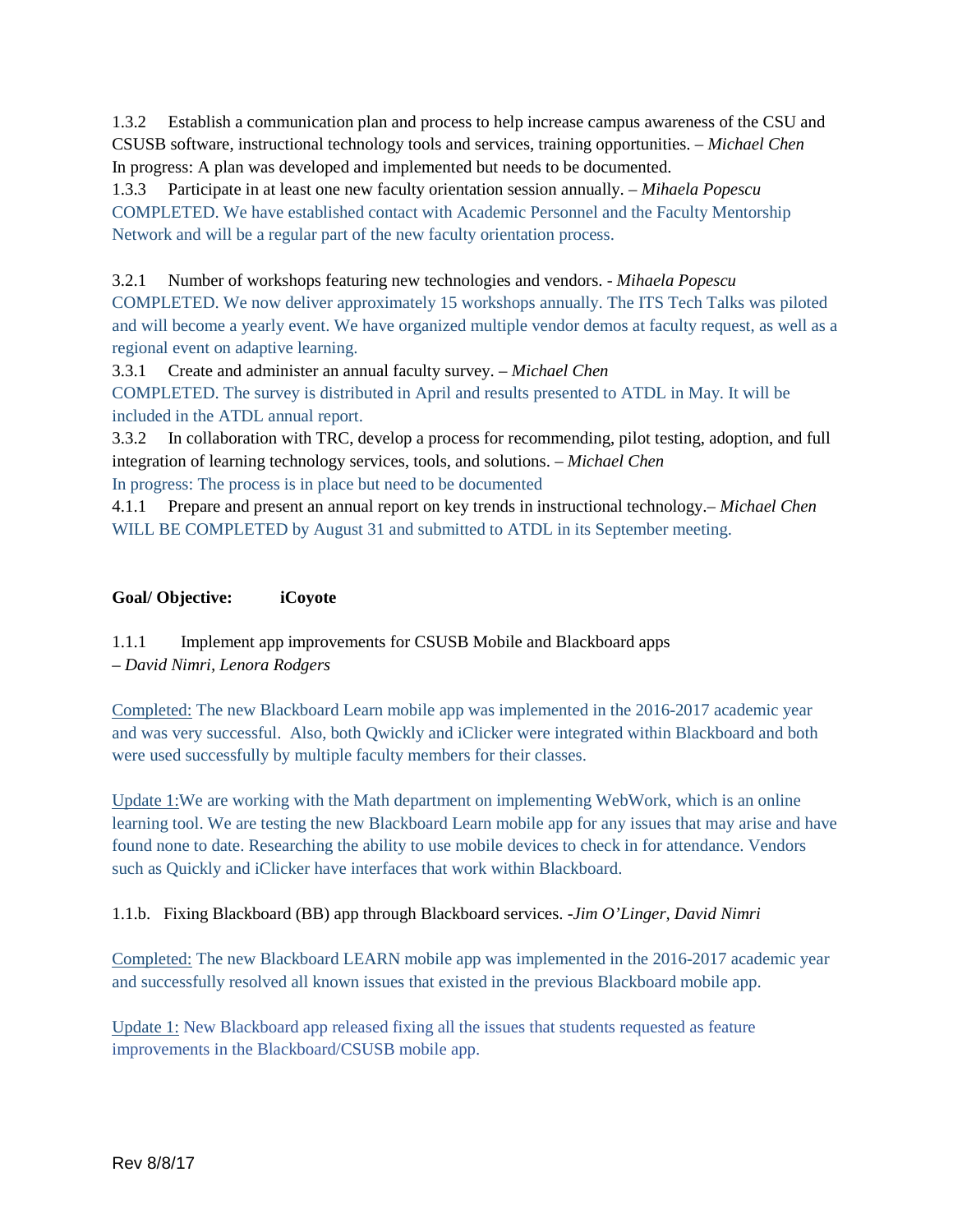1.3.2 Establish a communication plan and process to help increase campus awareness of the CSU and CSUSB software, instructional technology tools and services, training opportunities. – *Michael Chen* In progress: A plan was developed and implemented but needs to be documented.

1.3.3 Participate in at least one new faculty orientation session annually. – *Mihaela Popescu* COMPLETED. We have established contact with Academic Personnel and the Faculty Mentorship Network and will be a regular part of the new faculty orientation process.

3.2.1 Number of workshops featuring new technologies and vendors. - *Mihaela Popescu* COMPLETED. We now deliver approximately 15 workshops annually. The ITS Tech Talks was piloted and will become a yearly event. We have organized multiple vendor demos at faculty request, as well as a regional event on adaptive learning.

3.3.1 Create and administer an annual faculty survey. – *Michael Chen*

COMPLETED. The survey is distributed in April and results presented to ATDL in May. It will be included in the ATDL annual report.

3.3.2 In collaboration with TRC, develop a process for recommending, pilot testing, adoption, and full integration of learning technology services, tools, and solutions. – *Michael Chen*

In progress: The process is in place but need to be documented

4.1.1 Prepare and present an annual report on key trends in instructional technology.– *Michael Chen* WILL BE COMPLETED by August 31 and submitted to ATDL in its September meeting.

#### **Goal/ Objective: iCoyote**

1.1.1 Implement app improvements for CSUSB Mobile and Blackboard apps – *David Nimri, Lenora Rodgers*

Completed: The new Blackboard Learn mobile app was implemented in the 2016-2017 academic year and was very successful. Also, both Qwickly and iClicker were integrated within Blackboard and both were used successfully by multiple faculty members for their classes.

Update 1:We are working with the Math department on implementing WebWork, which is an online learning tool. We are testing the new Blackboard Learn mobile app for any issues that may arise and have found none to date. Researching the ability to use mobile devices to check in for attendance. Vendors such as Quickly and iClicker have interfaces that work within Blackboard.

1.1.b. Fixing Blackboard (BB) app through Blackboard services. -*Jim O'Linger, David Nimri*

Completed: The new Blackboard LEARN mobile app was implemented in the 2016-2017 academic year and successfully resolved all known issues that existed in the previous Blackboard mobile app.

Update 1: New Blackboard app released fixing all the issues that students requested as feature improvements in the Blackboard/CSUSB mobile app.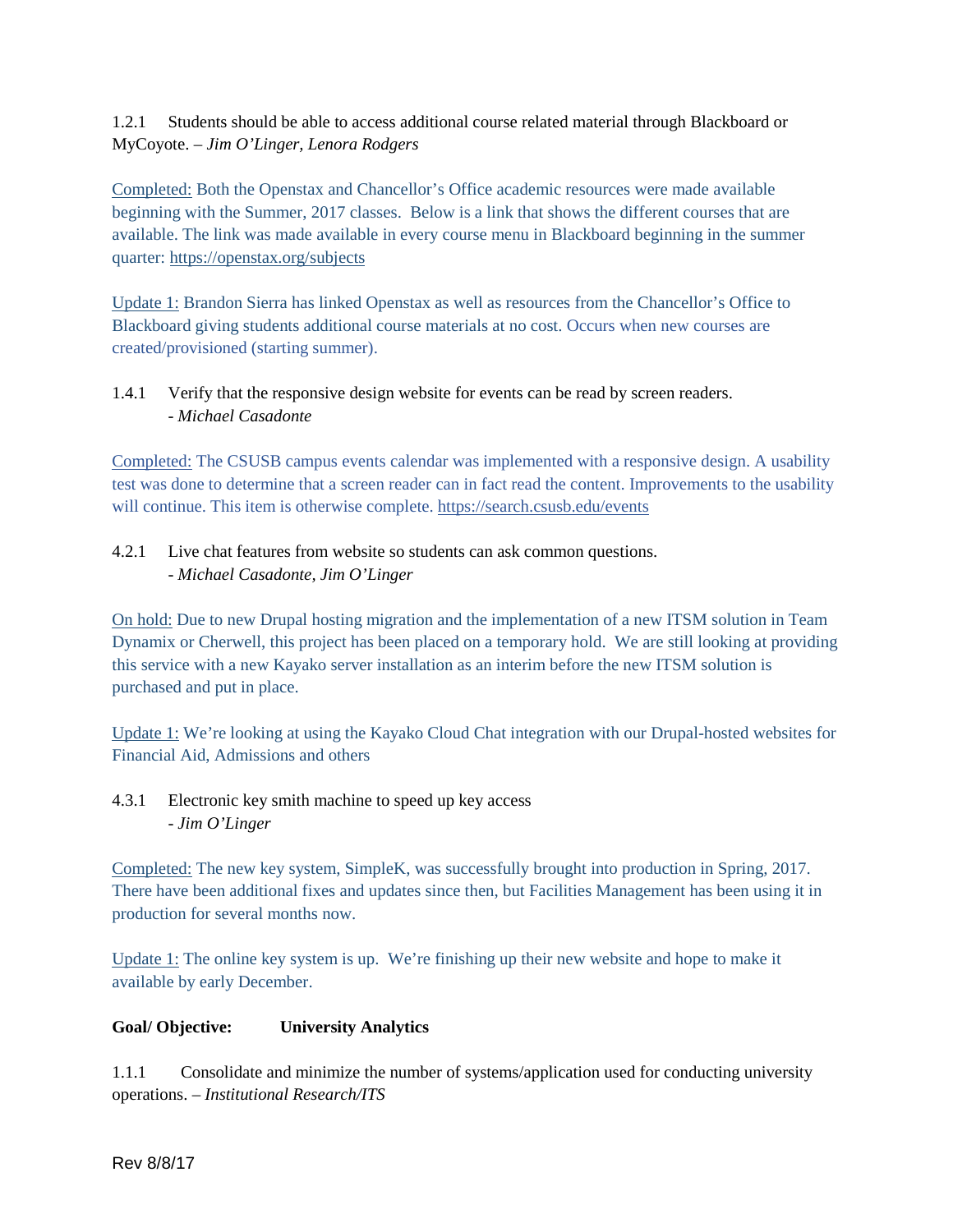1.2.1 Students should be able to access additional course related material through Blackboard or MyCoyote. – *Jim O'Linger, Lenora Rodgers*

Completed: Both the Openstax and Chancellor's Office academic resources were made available beginning with the Summer, 2017 classes. Below is a link that shows the different courses that are available. The link was made available in every course menu in Blackboard beginning in the summer quarter[:](https://openstax.org/subjects) <https://openstax.org/subjects>

Update 1: Brandon Sierra has linked Openstax as well as resources from the Chancellor's Office to Blackboard giving students additional course materials at no cost. Occurs when new courses are created/provisioned (starting summer).

### 1.4.1 Verify that the responsive design website for events can be read by screen readers. - *Michael Casadonte*

Completed: The CSUSB campus events calendar was implemented with a responsive design. A usability test was done to determine that a screen reader can in fact read the content. Improvements to the usability will continue. This item is otherwise complete.<https://search.csusb.edu/events>

# 4.2.1 Live chat features from website so students can ask common questions. - *Michael Casadonte, Jim O'Linger*

On hold: Due to new Drupal hosting migration and the implementation of a new ITSM solution in Team Dynamix or Cherwell, this project has been placed on a temporary hold. We are still looking at providing this service with a new Kayako server installation as an interim before the new ITSM solution is purchased and put in place.

Update 1: We're looking at using the Kayako Cloud Chat integration with our Drupal-hosted websites for Financial Aid, Admissions and others

4.3.1 Electronic key smith machine to speed up key access - *Jim O'Linger*

Completed: The new key system, SimpleK, was successfully brought into production in Spring, 2017. There have been additional fixes and updates since then, but Facilities Management has been using it in production for several months now.

Update 1: The online key system is up. We're finishing up their new website and hope to make it available by early December.

#### **Goal/ Objective: University Analytics**

1.1.1 Consolidate and minimize the number of systems/application used for conducting university operations. – *Institutional Research/ITS*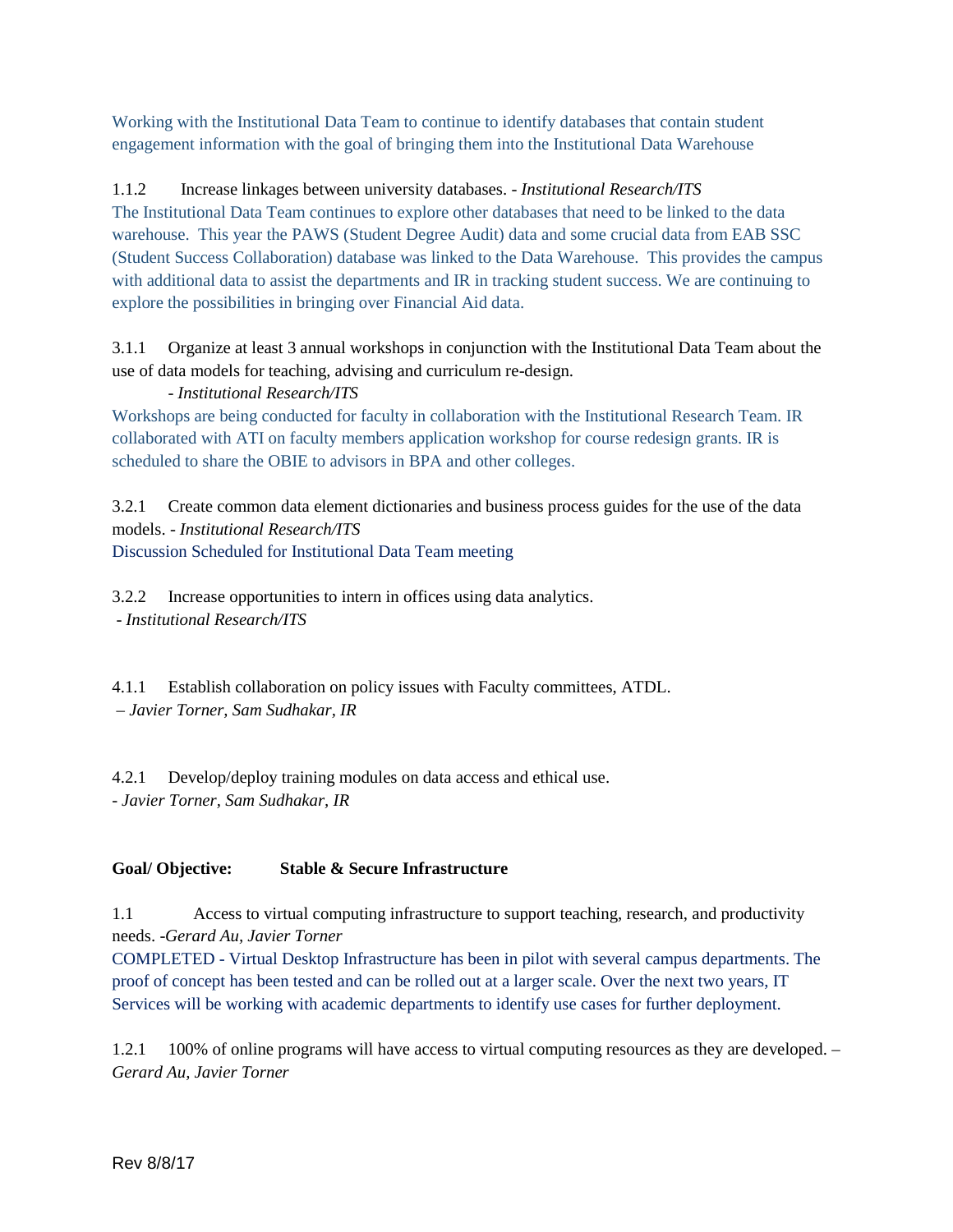Working with the Institutional Data Team to continue to identify databases that contain student engagement information with the goal of bringing them into the Institutional Data Warehouse

# 1.1.2 Increase linkages between university databases. - *Institutional Research/ITS*

The Institutional Data Team continues to explore other databases that need to be linked to the data warehouse. This year the PAWS (Student Degree Audit) data and some crucial data from EAB SSC (Student Success Collaboration) database was linked to the Data Warehouse. This provides the campus with additional data to assist the departments and IR in tracking student success. We are continuing to explore the possibilities in bringing over Financial Aid data.

3.1.1 Organize at least 3 annual workshops in conjunction with the Institutional Data Team about the use of data models for teaching, advising and curriculum re-design.

# - *Institutional Research/ITS*

Workshops are being conducted for faculty in collaboration with the Institutional Research Team. IR collaborated with ATI on faculty members application workshop for course redesign grants. IR is scheduled to share the OBIE to advisors in BPA and other colleges.

3.2.1 Create common data element dictionaries and business process guides for the use of the data models. - *Institutional Research/ITS* Discussion Scheduled for Institutional Data Team meeting

3.2.2 Increase opportunities to intern in offices using data analytics. - *Institutional Research/ITS*

4.1.1 Establish collaboration on policy issues with Faculty committees, ATDL. *– Javier Torner, Sam Sudhakar, IR*

4.2.1 Develop/deploy training modules on data access and ethical use. - *Javier Torner, Sam Sudhakar, IR*

# **Goal/ Objective: Stable & Secure Infrastructure**

1.1 Access to virtual computing infrastructure to support teaching, research, and productivity needs. -*Gerard Au, Javier Torner*

COMPLETED - Virtual Desktop Infrastructure has been in pilot with several campus departments. The proof of concept has been tested and can be rolled out at a larger scale. Over the next two years, IT Services will be working with academic departments to identify use cases for further deployment.

1.2.1 100% of online programs will have access to virtual computing resources as they are developed. – *Gerard Au, Javier Torner*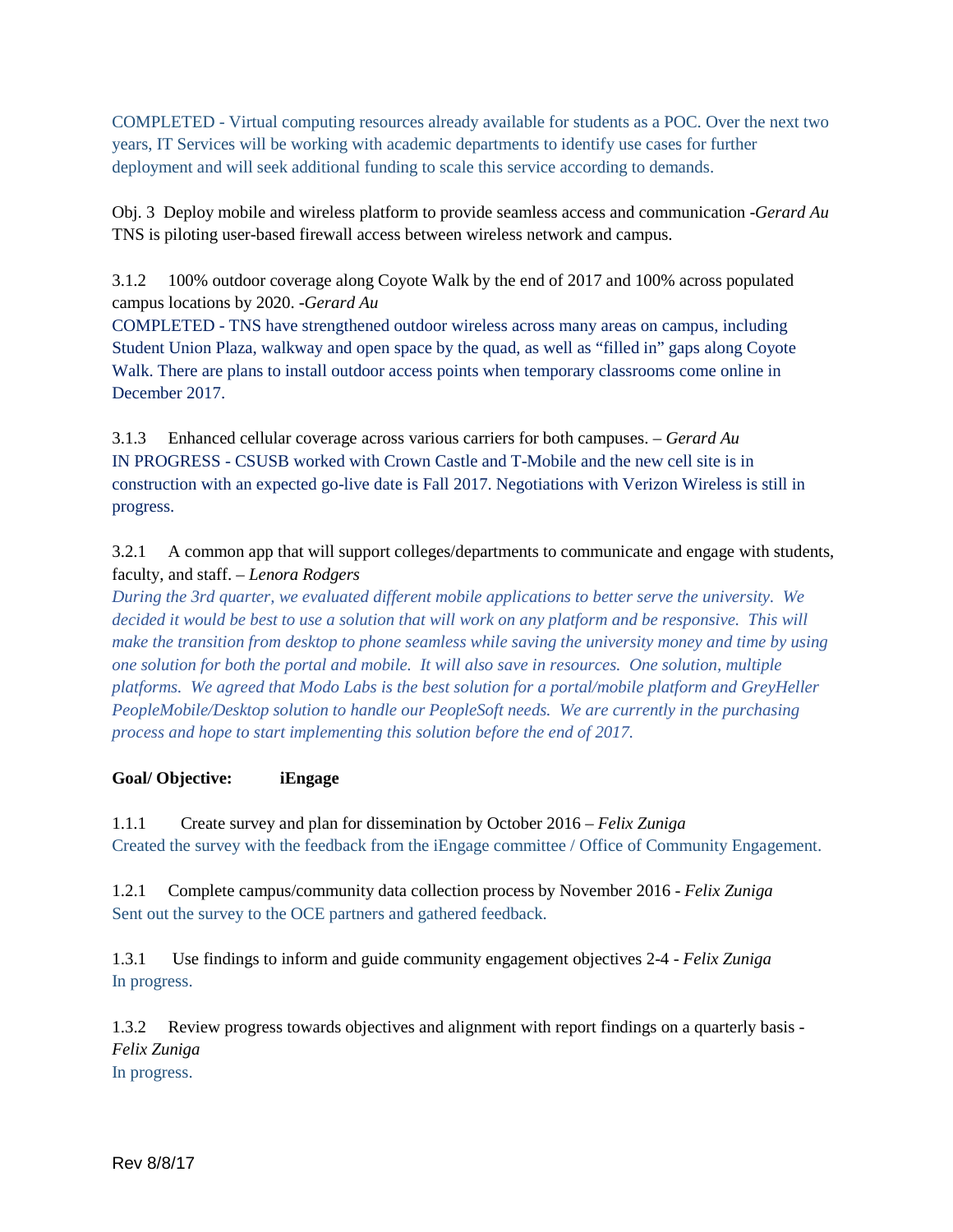COMPLETED - Virtual computing resources already available for students as a POC. Over the next two years, IT Services will be working with academic departments to identify use cases for further deployment and will seek additional funding to scale this service according to demands.

Obj. 3 Deploy mobile and wireless platform to provide seamless access and communication -*Gerard Au* TNS is piloting user-based firewall access between wireless network and campus.

3.1.2 100% outdoor coverage along Coyote Walk by the end of 2017 and 100% across populated campus locations by 2020. -*Gerard Au*

COMPLETED - TNS have strengthened outdoor wireless across many areas on campus, including Student Union Plaza, walkway and open space by the quad, as well as "filled in" gaps along Coyote Walk. There are plans to install outdoor access points when temporary classrooms come online in December 2017.

3.1.3 Enhanced cellular coverage across various carriers for both campuses. – *Gerard Au* IN PROGRESS - CSUSB worked with Crown Castle and T-Mobile and the new cell site is in construction with an expected go-live date is Fall 2017. Negotiations with Verizon Wireless is still in progress.

3.2.1 A common app that will support colleges/departments to communicate and engage with students, faculty, and staff. – *Lenora Rodgers*

*During the 3rd quarter, we evaluated different mobile applications to better serve the university. We*  decided it would be best to use a solution that will work on any platform and be responsive. This will *make the transition from desktop to phone seamless while saving the university money and time by using one solution for both the portal and mobile. It will also save in resources. One solution, multiple platforms. We agreed that Modo Labs is the best solution for a portal/mobile platform and GreyHeller PeopleMobile/Desktop solution to handle our PeopleSoft needs. We are currently in the purchasing process and hope to start implementing this solution before the end of 2017.*

#### **Goal/ Objective: iEngage**

1.1.1 Create survey and plan for dissemination by October 2016 – *Felix Zuniga* Created the survey with the feedback from the iEngage committee / Office of Community Engagement.

1.2.1 Complete campus/community data collection process by November 2016 - *Felix Zuniga* Sent out the survey to the OCE partners and gathered feedback.

1.3.1 Use findings to inform and guide community engagement objectives 2-4 - *Felix Zuniga* In progress.

1.3.2 Review progress towards objectives and alignment with report findings on a quarterly basis - *Felix Zuniga*

In progress.